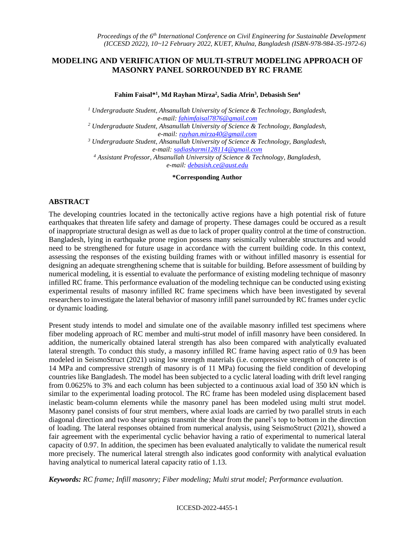# **MODELING AND VERIFICATION OF MULTI-STRUT MODELING APPROACH OF MASONRY PANEL SORROUNDED BY RC FRAME**

**Fahim Faisal\* 1 , Md Rayhan Mirza<sup>2</sup> , Sadia Afrin<sup>3</sup> , Debasish Sen<sup>4</sup>**

*<sup>1</sup> Undergraduate Student, Ahsanullah University of Science & Technology, Bangladesh, e-mail[: fahimfaisal7876@gmail.com](file:///C:/Users/Harold%20Finch/Desktop/fahimfaisal7876@gmail.com)*

*<sup>2</sup> Undergraduate Student, Ahsanullah University of Science & Technology, Bangladesh, e-mail: [rayhan.mirza40@gmail.com](file:///C:/Users/Harold%20Finch/Desktop/rayhan.mirza40@gmail.com)*

*<sup>3</sup> Undergraduate Student, Ahsanullah University of Science & Technology, Bangladesh, e-mail: [sadiasharmi128114@gmail.com](file:///C:/Users/Harold%20Finch/Desktop/sadiasharmi128114@gmail.com)*

*<sup>4</sup> Assistant Professor, Ahsanullah University of Science & Technology, Bangladesh, e-mail: [debasish.ce@aust.edu](file:///C:/Users/Harold%20Finch/Desktop/debasish.ce@aust.edu)*

**\*Corresponding Author**

# **ABSTRACT**

The developing countries located in the tectonically active regions have a high potential risk of future earthquakes that threaten life safety and damage of property. These damages could be occured as a result of inappropriate structural design as well as due to lack of proper quality control at the time of construction. Bangladesh, lying in earthquake prone region possess many seismically vulnerable structures and would need to be strengthened for future usage in accordance with the current building code. In this context, assessing the responses of the existing building frames with or without infilled masonry is essential for designing an adequate strengthening scheme that is suitable for building. Before assessment of building by numerical modeling, it is essential to evaluate the performance of existing modeling technique of masonry infilled RC frame. This performance evaluation of the modeling technique can be conducted using existing experimental results of masonry infilled RC frame specimens which have been investigated by several researchers to investigate the lateral behavior of masonry infill panel surrounded by RC frames under cyclic or dynamic loading.

Present study intends to model and simulate one of the available masonry infilled test specimens where fiber modeling approach of RC member and multi-strut model of infill masonry have been considered. In addition, the numerically obtained lateral strength has also been compared with analytically evaluated lateral strength. To conduct this study, a masonry infilled RC frame having aspect ratio of 0.9 has been modeled in SeismoStruct (2021) using low strength materials (i.e. compressive strength of concrete is of 14 MPa and compressive strength of masonry is of 11 MPa) focusing the field condition of developing countries like Bangladesh. The model has been subjected to a cyclic lateral loading with drift level ranging from 0.0625% to 3% and each column has been subjected to a continuous axial load of 350 kN which is similar to the experimental loading protocol. The RC frame has been modeled using displacement based inelastic beam-column elements while the masonry panel has been modeled using multi strut model. Masonry panel consists of four strut members, where axial loads are carried by two parallel struts in each diagonal direction and two shear springs transmit the shear from the panel's top to bottom in the direction of loading. The lateral responses obtained from numerical analysis, using SeismoStruct (2021), showed a fair agreement with the experimental cyclic behavior having a ratio of experimental to numerical lateral capacity of 0.97. In addition, the specimen has been evaluated analytically to validate the numerical result more precisely. The numerical lateral strength also indicates good conformity with analytical evaluation having analytical to numerical lateral capacity ratio of 1.13.

*Keywords: RC frame; Infill masonry; Fiber modeling; Multi strut model; Performance evaluation.*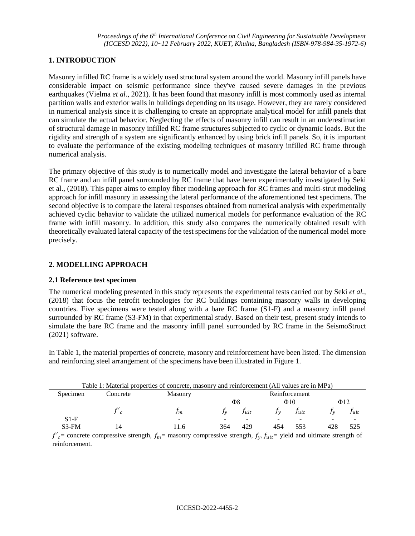### **1. INTRODUCTION**

Masonry infilled RC frame is a widely used structural system around the world. Masonry infill panels have considerable impact on seismic performance since they've caused severe damages in the previous earthquakes (Vielma *et al*.*,* 2021). It has been found that masonry infill is most commonly used as internal partition walls and exterior walls in buildings depending on its usage. However, they are rarely considered in numerical analysis since it is challenging to create an appropriate analytical model for infill panels that can simulate the actual behavior. Neglecting the effects of masonry infill can result in an underestimation of structural damage in masonry infilled RC frame structures subjected to cyclic or dynamic loads. But the rigidity and strength of a system are significantly enhanced by using brick infill panels. So, it is important to evaluate the performance of the existing modeling techniques of masonry infilled RC frame through numerical analysis.

The primary objective of this study is to numerically model and investigate the lateral behavior of a bare RC frame and an infill panel surrounded by RC frame that have been experimentally investigated by Seki et al., (2018). This paper aims to employ fiber modeling approach for RC frames and multi-strut modeling approach for infill masonry in assessing the lateral performance of the aforementioned test specimens. The second objective is to compare the lateral responses obtained from numerical analysis with experimentally achieved cyclic behavior to validate the utilized numerical models for performance evaluation of the RC frame with infill masonry. In addition, this study also compares the numerically obtained result with theoretically evaluated lateral capacity of the test specimens for the validation of the numerical model more precisely.

### **2. MODELLING APPROACH**

#### **2.1 Reference test specimen**

The numerical modeling presented in this study represents the experimental tests carried out by Seki *et al.,* (2018) that focus the retrofit technologies for RC buildings containing masonry walls in developing countries. Five specimens were tested along with a bare RC frame (S1-F) and a masonry infill panel surrounded by RC frame (S3-FM) in that experimental study. Based on their test, present study intends to simulate the bare RC frame and the masonry infill panel surrounded by RC frame in the SeismoStruct (2021) software.

In Table 1, the material properties of concrete, masonry and reinforcement have been listed. The dimension and reinforcing steel arrangement of the specimens have been illustrated in Figure 1.

| Table 1: Material properties of concrete, masonry and reinforcement (All values are in MPa) |          |                          |                 |       |     |       |     |      |  |
|---------------------------------------------------------------------------------------------|----------|--------------------------|-----------------|-------|-----|-------|-----|------|--|
| Specimen                                                                                    | Concrete | <b>Masonry</b>           | Reinforcement   |       |     |       |     |      |  |
|                                                                                             |          |                          | Φ8<br>$\Phi$ 10 |       |     | Ф12   |     |      |  |
|                                                                                             |          | Im.                      |                 | l ult |     | l ult |     | Jult |  |
| $S1-F$                                                                                      |          | $\overline{\phantom{0}}$ | -               |       |     |       |     |      |  |
| $S3-FM$                                                                                     | 14       |                          | 364             | 429   | 454 |       | 428 | 525  |  |

 $f'_{c}$  concrete compressive strength,  $f_{m}$  masonry compressive strength,  $f_{y}$ ,  $f_{ult}$  yield and ultimate strength of reinforcement.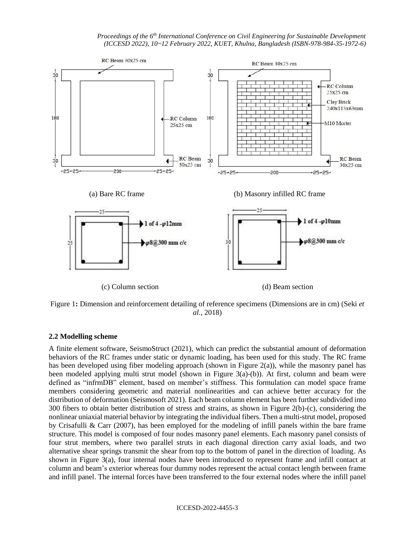*Proceedings of the 6 th International Conference on Civil Engineering for Sustainable Development (ICCESD 2022), 10~12 February 2022, KUET, Khulna, Bangladesh (ISBN-978-984-35-1972-6)*



Figure 1**:** Dimension and reinforcement detailing of reference specimens (Dimensions are in cm) (Seki *et al.,* 2018)

# **2.2 Modelling scheme**

A finite element software, SeismoStruct (2021), which can predict the substantial amount of deformation behaviors of the RC frames under static or dynamic loading, has been used for this study. The RC frame has been developed using fiber modeling approach (shown in Figure 2(a)), while the masonry panel has been modeled applying multi strut model (shown in Figure 3(a)-(b)). At first, column and beam were defined as "infrmDB" element, based on member's stiffness. This formulation can model space frame members considering geometric and material nonlinearities and can achieve better accuracy for the distribution of deformation (Seismosoft 2021). Each beam column element has been further subdivided into 300 fibers to obtain better distribution of stress and strains, as shown in Figure 2(b)-(c), considering the nonlinear uniaxial material behavior by integrating the individual fibers. Then a multi-strut model, proposed by Crisafulli & Carr (2007), has been employed for the modeling of infill panels within the bare frame structure. This model is composed of four nodes masonry panel elements. Each masonry panel consists of four strut members, where two parallel struts in each diagonal direction carry axial loads, and two alternative shear springs transmit the shear from top to the bottom of panel in the direction of loading. As shown in Figure 3(a), four internal nodes have been introduced to represent frame and infill contact at column and beam's exterior whereas four dummy nodes represent the actual contact length between frame and infill panel. The internal forces have been transferred to the four external nodes where the infill panel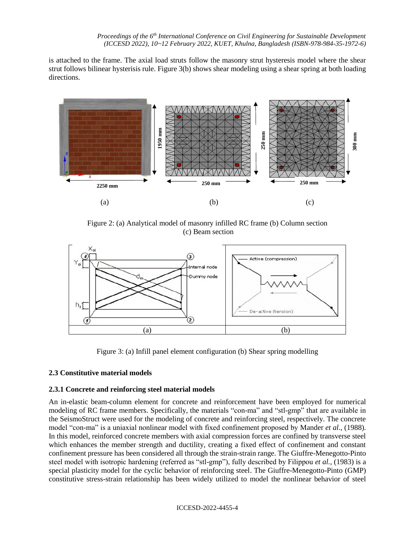is attached to the frame. The axial load struts follow the masonry strut hysteresis model where the shear strut follows bilinear hysterisis rule. Figure 3(b) shows shear modeling using a shear spring at both loading directions.



Figure 2: (a) Analytical model of masonry infilled RC frame (b) Column section (c) Beam section



Figure 3: (a) Infill panel element configuration (b) Shear spring modelling

# **2.3 Constitutive material models**

# **2.3.1 Concrete and reinforcing steel material models**

An in-elastic beam-column element for concrete and reinforcement have been employed for numerical modeling of RC frame members. Specifically, the materials "con-ma" and "stl-gmp" that are available in the SeismoStruct were used for the modeling of concrete and reinforcing steel, respectively. The concrete model "con-ma" is a uniaxial nonlinear model with fixed confinement proposed by Mander *et al.,* (1988). In this model, reinforced concrete members with axial compression forces are confined by transverse steel which enhances the member strength and ductility, creating a fixed effect of confinement and constant confinement pressure has been considered all through the strain-strain range. The Giuffre-Menegotto-Pinto steel model with isotropic hardening (referred as "stl-gmp"), fully described by Filippou *et al.,* (1983) is a special plasticity model for the cyclic behavior of reinforcing steel. The Giuffre-Menegotto-Pinto (GMP) constitutive stress-strain relationship has been widely utilized to model the nonlinear behavior of steel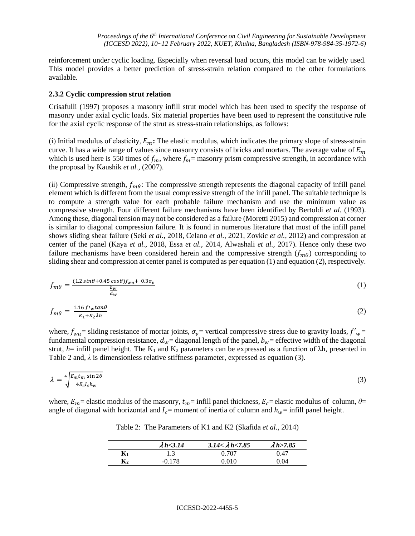reinforcement under cyclic loading. Especially when reversal load occurs, this model can be widely used. This model provides a better prediction of stress-strain relation compared to the other formulations available.

### **2.3.2 Cyclic compression strut relation**

Crisafulli (1997) proposes a masonry infill strut model which has been used to specify the response of masonry under axial cyclic loads. Six material properties have been used to represent the constitutive rule for the axial cyclic response of the strut as stress-strain relationships, as follows:

(i) Initial modulus of elasticity,  $E_m$ : The elastic modulus, which indicates the primary slope of stress-strain curve. It has a wide range of values since masonry consists of bricks and mortars. The average value of  $E_m$ which is used here is 550 times of  $f_m$ , where  $f_m$  = masonry prism compressive strength, in accordance with the proposal by Kaushik *et al.,* (2007).

(ii) Compressive strength,  $f_{m\theta}$ : The compressive strength represents the diagonal capacity of infill panel element which is different from the usual compressive strength of the infill panel. The suitable technique is to compute a strength value for each probable failure mechanism and use the minimum value as compressive strength. Four different failure mechanisms have been identified by Bertoldi *et al.* (1993). Among these, diagonal tension may not be considered as a failure (Moretti 2015) and compression at corner is similar to diagonal compression failure. It is found in numerous literature that most of the infill panel shows sliding shear failure (Seki *et al.,* 2018, Celano *et al.,* 2021, Zovkic *et al.,* 2012) and compression at center of the panel (Kaya *et al.,* 2018, Essa *et al.,* 2014, Alwashali *et al.,* 2017). Hence only these two failure mechanisms have been considered herein and the compressive strength  $(f_{m\theta})$  corresponding to sliding shear and compression at center panel is computed as per equation (1) and equation (2), respectively.

$$
f_{m\theta} = \frac{(1.2 \sin\theta + 0.45 \cos\theta)f_{wu} + 0.3\sigma_v}{\frac{b_w}{d_w}}
$$
 (1)

$$
f_{m\theta} = \frac{1.16 f r_w \tan \theta}{K_1 + K_2 \lambda h} \tag{2}
$$

where,  $f_{wu}$  sliding resistance of mortar joints,  $\sigma_v$  vertical compressive stress due to gravity loads,  $f'_{w}$ fundamental compression resistance,  $d_w$  = diagonal length of the panel,  $b_w$  = effective width of the diagonal strut,  $h$ = infill panel height. The K<sub>1</sub> and K<sub>2</sub> parameters can be expressed as a function of  $\lambda h$ , presented in Table 2 and,  $\lambda$  is dimensionless relative stiffness parameter, expressed as equation (3).

$$
\lambda = \sqrt[4]{\frac{E_m t_m \sin 2\theta}{4E_c l_c h_w}}\tag{3}
$$

where,  $E_m$  = elastic modulus of the masonry,  $t_m$  = infill panel thickness,  $E_c$  = elastic modulus of column,  $\theta$  = angle of diagonal with horizontal and  $I_c$  = moment of inertia of column and  $h_w$  = infill panel height.

Table 2: The Parameters of K1 and K2 (Skafida *et al.,* 2014)

|                | $\lambda h$ < 3.14 | $3.14 < \lambda h < 7.85$ | $\lambda h$ > 7.85 |
|----------------|--------------------|---------------------------|--------------------|
| $\mathbf{K}_1$ |                    | 0.707                     | 0.47               |
| $\mathbf{K}_2$ | -0.178             | 0.010                     | 0.04               |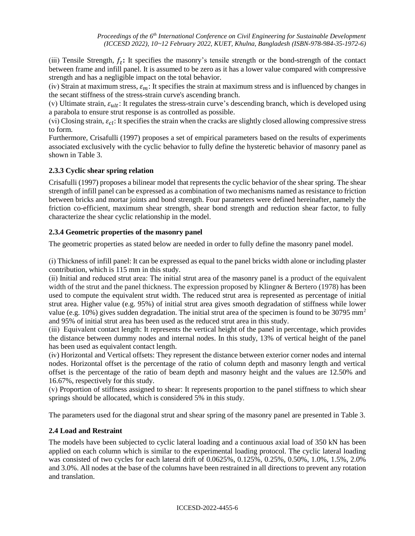(ⅲ) Tensile Strength, **:** It specifies the masonry's tensile strength or the bond-strength of the contact between frame and infill panel. It is assumed to be zero as it has a lower value compared with compressive strength and has a negligible impact on the total behavior.

(iv) Strain at maximum stress,  $\varepsilon_m$ : It specifies the strain at maximum stress and is influenced by changes in the secant stiffness of the stress-strain curve's ascending branch.

(v) Ultimate strain,  $\varepsilon_{ult}$ : It regulates the stress-strain curve's descending branch, which is developed using a parabola to ensure strut response is as controlled as possible.

(vi) Closing strain,  $\varepsilon_{cl}$ : It specifies the strain when the cracks are slightly closed allowing compressive stress to form.

Furthermore, Crisafulli (1997) proposes a set of empirical parameters based on the results of experiments associated exclusively with the cyclic behavior to fully define the hysteretic behavior of masonry panel as shown in Table 3.

# **2.3.3 Cyclic shear spring relation**

Crisafulli (1997) proposes a bilinear model that represents the cyclic behavior of the shear spring. The shear strength of infill panel can be expressed as a combination of two mechanisms named as resistance to friction between bricks and mortar joints and bond strength. Four parameters were defined hereinafter, namely the friction co-efficient, maximum shear strength, shear bond strength and reduction shear factor, to fully characterize the shear cyclic relationship in the model.

# **2.3.4 Geometric properties of the masonry panel**

The geometric properties as stated below are needed in order to fully define the masonry panel model.

(ⅰ) Thickness of infill panel: It can be expressed as equal to the panel bricks width alone or including plaster contribution, which is 115 mm in this study.

(ⅱ) Initial and reduced strut area: The initial strut area of the masonry panel is a product of the equivalent width of the strut and the panel thickness. The expression proposed by Klingner & Bertero (1978) has been used to compute the equivalent strut width. The reduced strut area is represented as percentage of initial strut area. Higher value (e.g. 95%) of initial strut area gives smooth degradation of stiffness while lower value (e.g. 10%) gives sudden degradation. The initial strut area of the specimen is found to be 30795 mm<sup>2</sup> and 95% of initial strut area has been used as the reduced strut area in this study.

(ⅲ) Equivalent contact length: It represents the vertical height of the panel in percentage, which provides the distance between dummy nodes and internal nodes. In this study, 13% of vertical height of the panel has been used as equivalent contact length.

(ⅳ) Horizontal and Vertical offsets: They represent the distance between exterior corner nodes and internal nodes. Horizontal offset is the percentage of the ratio of column depth and masonry length and vertical offset is the percentage of the ratio of beam depth and masonry height and the values are 12.50% and 16.67%, respectively for this study.

(ⅴ) Proportion of stiffness assigned to shear: It represents proportion to the panel stiffness to which shear springs should be allocated, which is considered 5% in this study.

The parameters used for the diagonal strut and shear spring of the masonry panel are presented in Table 3.

# **2.4 Load and Restraint**

The models have been subjected to cyclic lateral loading and a continuous axial load of 350 kN has been applied on each column which is similar to the experimental loading protocol. The cyclic lateral loading was consisted of two cycles for each lateral drift of 0.0625%, 0.125%, 0.25%, 0.50%, 1.0%, 1.5%, 2.0% and 3.0%. All nodes at the base of the columns have been restrained in all directions to prevent any rotation and translation.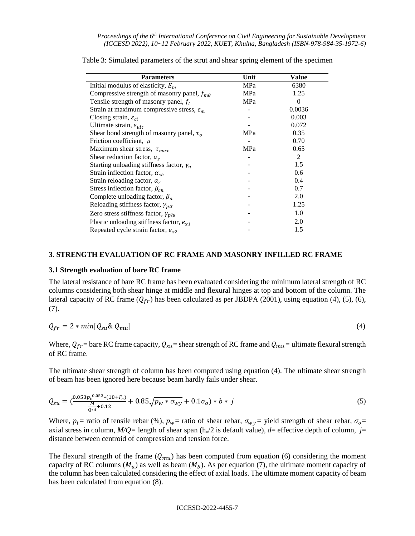| <b>Parameters</b>                                     | Unit | Value    |
|-------------------------------------------------------|------|----------|
| Initial modulus of elasticity, $E_m$                  | MPa  | 6380     |
| Compressive strength of masonry panel, $f_{m\theta}$  | MPa  | 1.25     |
| Tensile strength of masonry panel, $f_t$              | MPa  | $\Omega$ |
| Strain at maximum compressive stress, $\varepsilon_m$ |      | 0.0036   |
| Closing strain, $\varepsilon_{cl}$                    |      | 0.003    |
| Ultimate strain, $\varepsilon_{ult}$                  |      | 0.072    |
| Shear bond strength of masonry panel, $\tau_o$        | MPa  | 0.35     |
| Friction coefficient, $\mu$                           |      | 0.70     |
| Maximum shear stress, $\tau_{max}$                    | MPa  | 0.65     |
| Shear reduction factor, $\alpha_s$                    |      | 2        |
| Starting unloading stiffness factor, $\gamma_u$       |      | 1.5      |
| Strain inflection factor, $\alpha_{ch}$               |      | 0.6      |
| Strain reloading factor, $\alpha_r$                   |      | 0.4      |
| Stress inflection factor, $\beta_{ch}$                |      | 0.7      |
| Complete unloading factor, $\beta_a$                  |      | 2.0      |
| Reloading stiffness factor, $\gamma_{\text{plr}}$     |      | 1.25     |
| Zero stress stiffness factor, $\gamma_{\text{plu}}$   |      | 1.0      |
| Plastic unloading stiffness factor, $e_{x1}$          |      | 2.0      |
| Repeated cycle strain factor, $e_{\alpha 2}$          |      | 1.5      |

Table 3: Simulated parameters of the strut and shear spring element of the specimen

### **3. STRENGTH EVALUATION OF RC FRAME AND MASONRY INFILLED RC FRAME**

#### **3.1 Strength evaluation of bare RC frame**

The lateral resistance of bare RC frame has been evaluated considering the minimum lateral strength of RC columns considering both shear hinge at middle and flexural hinges at top and bottom of the column. The lateral capacity of RC frame  $(Q_{fr})$  has been calculated as per JBDPA (2001), using equation (4), (5), (6), (7).

$$
Q_{fr} = 2 * min[Q_{su} & Q_{mu}] \tag{4}
$$

Where,  $Q_{fr}$  bare RC frame capacity,  $Q_{su}$  shear strength of RC frame and  $Q_{mu}$  = ultimate flexural strength of RC frame.

The ultimate shear strength of column has been computed using equation (4). The ultimate shear strength of beam has been ignored here because beam hardly fails under shear.

$$
Q_{\text{su}} = \left(\frac{0.053p_t^{0.053}*(18+F_c)}{\frac{M}{Q*d}+0.12}+0.85\sqrt{p_w*\sigma_{wy}}+0.1\sigma_o\right)*b*y\tag{5}
$$

Where,  $p_t$  = ratio of tensile rebar (%),  $p_w$  = ratio of shear rebar,  $\sigma_{wy}$  = yield strength of shear rebar,  $\sigma_o$  = axial stress in column,  $M/Q$ = length of shear span (h<sub>o</sub>/2 is default value),  $d=$  effective depth of column,  $j=$ distance between centroid of compression and tension force.

The flexural strength of the frame  $(Q_{mu})$  has been computed from equation (6) considering the moment capacity of RC columns  $(M_u)$  as well as beam  $(M_b)$ . As per equation (7), the ultimate moment capacity of the column has been calculated considering the effect of axial loads. The ultimate moment capacity of beam has been calculated from equation (8).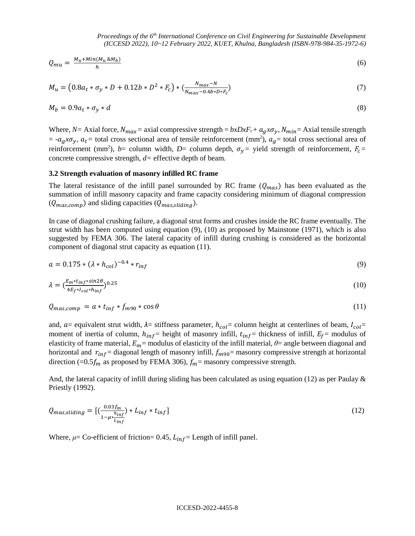$$
Q_{mu} = \frac{M_u + Min(M_u \& M_b)}{h} \tag{6}
$$

$$
M_u = (0.8a_t * \sigma_y * D + 0.12b * D^2 * F_c) * (\frac{N_{max} - N}{N_{max} - 0.4b * D * F_c})
$$
\n<sup>(7)</sup>

$$
M_b = 0.9a_t * \sigma_y * d \tag{8}
$$

Where,  $N =$  Axial force,  $N_{max}$  = axial compressive strength =  $bxDxF_c + a_gx\sigma_y$ ,  $N_{min}$  = Axial tensile strength  $= -a_g x \sigma_y$ ,  $a_t$  = total cross sectional area of tensile reinforcement (mm<sup>2</sup>),  $a_g$  = total cross sectional area of reinforcement (mm<sup>2</sup>), *b*= column width, *D*= column depth,  $\sigma_y$ = yield strength of reinforcement,  $F_c$ = concrete compressive strength, *d=* effective depth of beam.

#### **3.2 Strength evaluation of masonry infilled RC frame**

The lateral resistance of the infill panel surrounded by RC frame  $(Q_{max})$  has been evaluated as the summation of infill masonry capacity and frame capacity considering minimum of diagonal compression  $(Q_{mas,comp})$  and sliding capacities  $(Q_{mas, sliding})$ .

In case of diagonal crushing failure, a diagonal strut forms and crushes inside the RC frame eventually. The strut width has been computed using equation (9), (10) as proposed by Mainstone (1971), which is also suggested by FEMA 306. The lateral capacity of infill during crushing is considered as the horizontal component of diagonal strut capacity as equation (11).

$$
a = 0.175 * (\lambda * h_{col})^{-0.4} * r_{inf}
$$
\n(9)

$$
\lambda = \left(\frac{E_m * t_{inf} * \sin 2\theta}{4E_f * I_{col} * h_{inf}}\right)^{0.25} \tag{10}
$$

$$
Q_{\text{mas,comp}} = a * t_{\text{inf}} * f_{\text{m90}} * \cos \theta \tag{11}
$$

and,  $a$  = equivalent strut width,  $\lambda$  = stiffness parameter,  $h_{col}$  = column height at centerlines of beam,  $I_{col}$  = moment of inertia of column,  $h_{inf}$  height of masonry infill,  $t_{inf}$  = thickness of infill,  $E_f$  = modulus of elasticity of frame material,  $E_m$ = modulus of elasticity of the infill material,  $\theta$ = angle between diagonal and horizontal and  $r_{inf}$  diagonal length of masonry infill,  $f_{m90}$  masonry compressive strength at horizontal direction (=0.5 $f_m$  as proposed by FEMA 306),  $f_m$ = masonry compressive strength.

And, the lateral capacity of infill during sliding has been calculated as using equation (12) as per Paulay & Priestly (1992).

$$
Q_{mass, sliding} = \left[ \left( \frac{0.03f_m}{1 - \mu^* \frac{h_{inf}}{L_{inf}}} \right) * L_{inf} * t_{inf} \right]
$$
\n<sup>(12)</sup>

Where,  $\mu$ = Co-efficient of friction= 0.45,  $L_{inf}$ = Length of infill panel.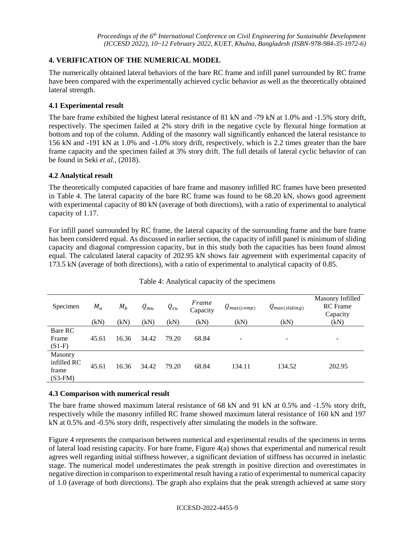# **4. VERIFICATION OF THE NUMERICAL MODEL**

The numerically obtained lateral behaviors of the bare RC frame and infill panel surrounded by RC frame have been compared with the experimentally achieved cyclic behavior as well as the theoretically obtained lateral strength.

# **4.1 Experimental result**

The bare frame exhibited the highest lateral resistance of 81 kN and -79 kN at 1.0% and -1.5% story drift, respectively. The specimen failed at 2% story drift in the negative cycle by flexural hinge formation at bottom and top of the column. Adding of the masonry wall significantly enhanced the lateral resistance to 156 kN and -191 kN at 1.0% and -1.0% story drift, respectively, which is 2.2 times greater than the bare frame capacity and the specimen failed at 3% story drift. The full details of lateral cyclic behavior of can be found in Seki *et al.,* (2018).

# **4.2 Analytical result**

The theoretically computed capacities of bare frame and masonry infilled RC frames have been presented in Table 4. The lateral capacity of the bare RC frame was found to be 68.20 kN, shows good agreement with experimental capacity of 80 kN (average of both directions), with a ratio of experimental to analytical capacity of 1.17.

For infill panel surrounded by RC frame, the lateral capacity of the surrounding frame and the bare frame has been considered equal. As discussed in earlier section, the capacity of infill panel is minimum of sliding capacity and diagonal compression capacity, but in this study both the capacities has been found almost equal. The calculated lateral capacity of 202.95 kN shows fair agreement with experimental capacity of 173.5 kN (average of both directions), with a ratio of experimental to analytical capacity of 0.85.

| Specimen                                     | $M_u$<br>(kN) | $M_b$<br>(kN) | $Q_{mu}$<br>(kN) | $Q_{su}$<br>(kN) | Frame<br>Capacity<br>(kN) | $Q_{mas (comp)}$<br>(kN) | $Q_{mas (sliding)}$<br>(kN) | Masonry Infilled<br><b>RC</b> Frame<br>Capacity<br>(kN) |
|----------------------------------------------|---------------|---------------|------------------|------------------|---------------------------|--------------------------|-----------------------------|---------------------------------------------------------|
| Bare RC<br>Frame<br>$(S1-F)$                 | 45.61         | 16.36         | 34.42            | 79.20            | 68.84                     | ۰                        | -                           | ۰                                                       |
| Masonry<br>infilled RC<br>frame<br>$(S3-FM)$ | 45.61         | 16.36         | 34.42            | 79.20            | 68.84                     | 134.11                   | 134.52                      | 202.95                                                  |

# Table 4: Analytical capacity of the specimens

# **4.3 Comparison with numerical result**

The bare frame showed maximum lateral resistance of 68 kN and 91 kN at 0.5% and -1.5% story drift, respectively while the masonry infilled RC frame showed maximum lateral resistance of 160 kN and 197 kN at 0.5% and -0.5% story drift, respectively after simulating the models in the software.

Figure 4 represents the comparison between numerical and experimental results of the specimens in terms of lateral load resisting capacity. For bare frame, Figure 4(a) shows that experimental and numerical result agrees well regarding initial stiffness however, a significant deviation of stiffness has occurred in inelastic stage. The numerical model underestimates the peak strength in positive direction and overestimates in negative direction in comparison to experimental result having a ratio of experimental to numerical capacity of 1.0 (average of both directions). The graph also explains that the peak strength achieved at same story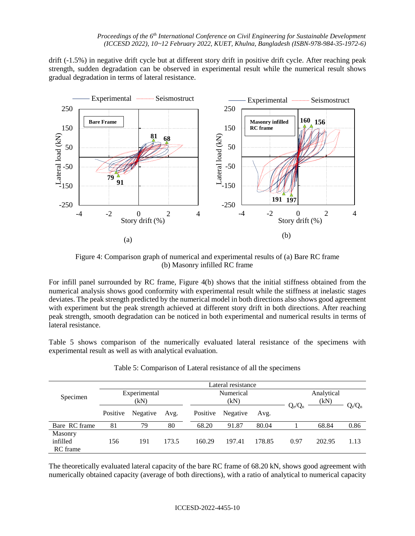drift (-1.5%) in negative drift cycle but at different story drift in positive drift cycle. After reaching peak strength, sudden degradation can be observed in experimental result while the numerical result shows gradual degradation in terms of lateral resistance.



Figure 4: Comparison graph of numerical and experimental results of (a) Bare RC frame (b) Masonry infilled RC frame

For infill panel surrounded by RC frame, Figure 4(b) shows that the initial stiffness obtained from the numerical analysis shows good conformity with experimental result while the stiffness at inelastic stages deviates. The peak strength predicted by the numerical model in both directions also shows good agreement with experiment but the peak strength achieved at different story drift in both directions. After reaching peak strength, smooth degradation can be noticed in both experimental and numerical results in terms of lateral resistance.

Table 5 shows comparison of the numerically evaluated lateral resistance of the specimens with experimental result as well as with analytical evaluation.

|                                 | Lateral resistance   |          |       |                   |          |        |           |                    |           |
|---------------------------------|----------------------|----------|-------|-------------------|----------|--------|-----------|--------------------|-----------|
| Specimen                        | Experimental<br>(kN) |          |       | Numerical<br>(kN) |          |        |           | Analytical<br>(kN) |           |
|                                 | Positive             | Negative | Avg.  | Positive          | Negative | Avg.   | $Q_e/Q_n$ |                    | $Q_t/Q_n$ |
| Bare RC frame                   | 81                   | 79       | 80    | 68.20             | 91.87    | 80.04  |           | 68.84              | 0.86      |
| Masonry<br>infilled<br>RC frame | 156                  | 191      | 173.5 | 160.29            | 197.41   | 178.85 | 0.97      | 202.95             | 1.13      |

Table 5: Comparison of Lateral resistance of all the specimens

The theoretically evaluated lateral capacity of the bare RC frame of 68.20 kN, shows good agreement with numerically obtained capacity (average of both directions), with a ratio of analytical to numerical capacity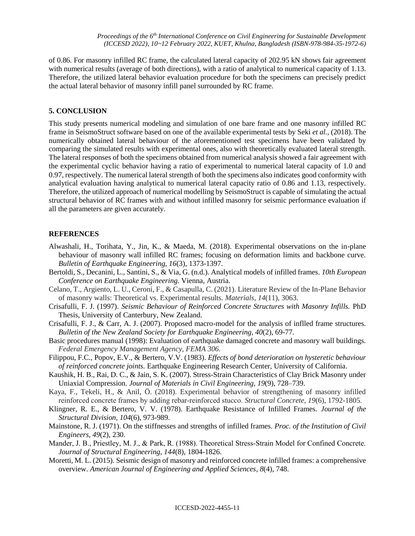of 0.86. For masonry infilled RC frame, the calculated lateral capacity of 202.95 kN shows fair agreement with numerical results (average of both directions), with a ratio of analytical to numerical capacity of 1.13. Therefore, the utilized lateral behavior evaluation procedure for both the specimens can precisely predict the actual lateral behavior of masonry infill panel surrounded by RC frame.

#### **5. CONCLUSION**

This study presents numerical modeling and simulation of one bare frame and one masonry infilled RC frame in SeismoStruct software based on one of the available experimental tests by Seki *et al.,* (2018). The numerically obtained lateral behaviour of the aforementioned test specimens have been validated by comparing the simulated results with experimental ones, also with theoretically evaluated lateral strength. The lateral responses of both the specimens obtained from numerical analysis showed a fair agreement with the experimental cyclic behavior having a ratio of experimental to numerical lateral capacity of 1.0 and 0.97, respectively. The numerical lateral strength of both the specimens also indicates good conformity with analytical evaluation having analytical to numerical lateral capacity ratio of 0.86 and 1.13, respectively. Therefore, the utilized approach of numerical modelling by SeismoStruct is capable of simulating the actual structural behavior of RC frames with and without infilled masonry for seismic performance evaluation if all the parameters are given accurately.

#### **REFERENCES**

- Alwashali, H., Torihata, Y., Jin, K., & Maeda, M. (2018). Experimental observations on the in-plane behaviour of masonry wall infilled RC frames; focusing on deformation limits and backbone curve. *Bulletin of Earthquake Engineering, 16*(3), 1373-1397.
- Bertoldi, S., Decanini, L., Santini, S., & Via, G. (n.d.). Analytical models of infilled frames. *10th European Conference on Earthquake Engineering.* Vienna, Austria.
- Celano, T., Argiento, L. U., Ceroni, F., & Casapulla, C. (2021). Literature Review of the In-Plane Behavior of masonry walls: Theoretical vs. Experimental results. *Materials*, *14*(11), 3063.
- Crisafulli, F. J. (1997). *Seismic Behaviour of Reinforced Concrete Structures with Masonry Infills.* PhD Thesis, University of Canterbury, New Zealand.
- Crisafulli, F. J., & Carr, A. J. (2007). Proposed macro-model for the analysis of inflled frame structures. *Bulletin of the New Zealand Society for Earthquake Engineering, 40*(2), 69-77.
- Basic procedures manual (1998): Evaluation of earthquake damaged concrete and masonry wall buildings. *Federal Emergency Management Agency, FEMA 306.*
- Filippou, F.C., Popov, E.V., & Bertero, V.V. (1983). *Effects of bond deterioration on hysteretic behaviour of reinforced concrete joints.* Earthquake Engineering Research Center, University of California.
- Kaushik, H. B., Rai, D. C., & Jain, S. K. (2007). Stress-Strain Characteristics of Clay Brick Masonry under Uniaxial Compression. *Journal of Materials in Civil Engineering, 19*(9), 728–739.
- Kaya, F., Tekeli, H., & Anil, Ö. (2018). Experimental behavior of strengthening of masonry infilled reinforced concrete frames by adding rebar‐reinforced stucco. *Structural Concrete*, *19*(6), 1792-1805.
- Klingner, R. E., & Bertero, V. V. (1978). Earthquake Resistance of Infilled Frames. *Journal of the Structural Division, 104*(6), 973-989.
- Mainstone, R. J. (1971). On the stiffnesses and strengths of infilled frames. *Proc. of the Institution of Civil Engineers, 49*(2), 230.
- Mander, J. B., Priestley, M. J., & Park, R. (1988). Theoretical Stress‐Strain Model for Confined Concrete. *Journal of Structural Engineering, 144*(8), 1804-1826.
- Moretti, M. L. (2015). Seismic design of masonry and reinforced concrete infilled frames: a comprehensive overview. *American Journal of Engineering and Applied Sciences*, *8*(4), 748.